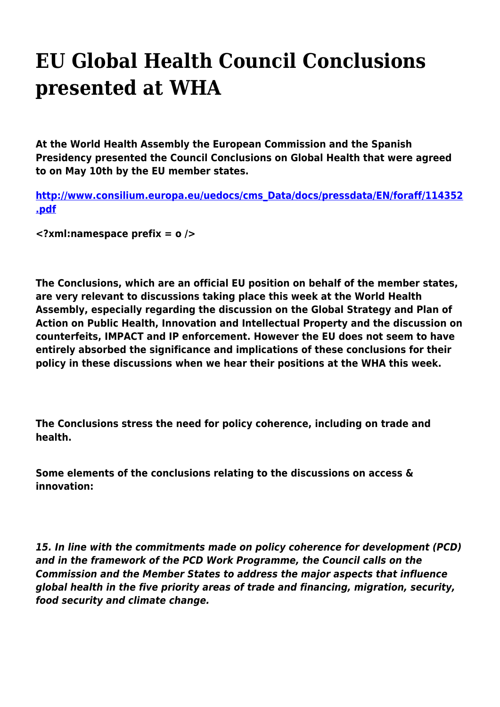## **EU Global Health Council Conclusions presented at WHA**

**At the World Health Assembly the European Commission and the Spanish Presidency presented the Council Conclusions on Global Health that were agreed to on May 10th by the EU member states.**

**[http://www.consilium.europa.eu/uedocs/cms\\_Data/docs/pressdata/EN/foraff/114352](http://www.consilium.europa.eu/uedocs/cms_Data/docs/pressdata/EN/foraff/114352.pdf) [.pdf](http://www.consilium.europa.eu/uedocs/cms_Data/docs/pressdata/EN/foraff/114352.pdf)**

**<?xml:namespace prefix = o />**

**The Conclusions, which are an official EU position on behalf of the member states, are very relevant to discussions taking place this week at the World Health Assembly, especially regarding the discussion on the Global Strategy and Plan of Action on Public Health, Innovation and Intellectual Property and the discussion on counterfeits, IMPACT and IP enforcement. However the EU does not seem to have entirely absorbed the significance and implications of these conclusions for their policy in these discussions when we hear their positions at the WHA this week.**

**The Conclusions stress the need for policy coherence, including on trade and health.**

**Some elements of the conclusions relating to the discussions on access & innovation:**

*15. In line with the commitments made on policy coherence for development (PCD) and in the framework of the PCD Work Programme, the Council calls on the Commission and the Member States to address the major aspects that influence global health in the five priority areas of trade and financing, migration, security, food security and climate change.*